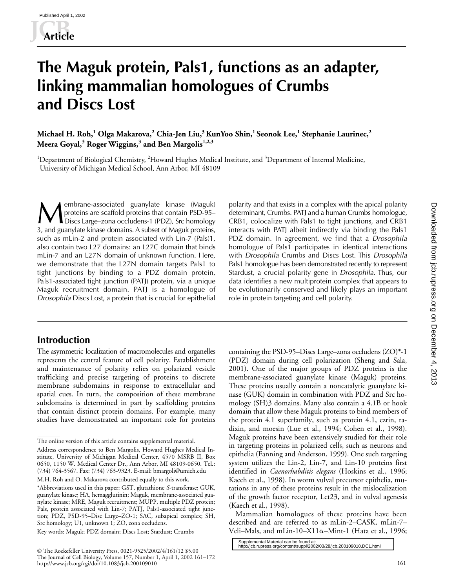# **The Maguk protein, Pals1, functions as an adapter, linking mammalian homologues of Crumbs and Discs Lost**

**Michael H. Roh,<sup>1</sup> Olga Makarova,<sup>2</sup> Chia-Jen Liu,3 KunYoo Shin,1 Seonok Lee,1 Stephanie Laurinec,<sup>2</sup> Meera Goyal,<sup>3</sup> Roger Wiggins,<sup>3</sup> and Ben Margolis1,2,3**

<sup>1</sup>Department of Biological Chemistry, <sup>2</sup>Howard Hughes Medical Institute, and <sup>3</sup>Department of Internal Medicine, University of Michigan Medical School, Ann Arbor, MI 48109

embrane-associated guanylate kinase (Maguk) proteins are scaffold proteins that contain PSD-95– **Membrane-associated guanylate kinase** (Maguk) polarity and that exists in a complex with the apical polarity proteins are scaffold proteins that contain PSD-95-<br>Discs Large–zona occludens-1 (PDZ), Src homology CRB1, coloc 3, and guanylate kinase domains. A subset of Maguk proteins, such as mLin-2 and protein associated with Lin-7 (Pals)1, also contain two L27 domains: an L27C domain that binds mLin-7 and an L27N domain of unknown function. Here, we demonstrate that the L27N domain targets Pals1 to tight junctions by binding to a PDZ domain protein, Pals1-associated tight junction (PATJ) protein, via a unique Maguk recruitment domain. PATJ is a homologue of *Drosophila* Discs Lost, a protein that is crucial for epithelial

# **Introduction**

The asymmetric localization of macromolecules and organelles represents the central feature of cell polarity. Establishment and maintenance of polarity relies on polarized vesicle trafficking and precise targeting of proteins to discrete membrane subdomains in response to extracellular and spatial cues. In turn, the composition of these membrane subdomains is determined in part by scaffolding proteins that contain distinct protein domains. For example, many studies have demonstrated an important role for proteins

 The Rockefeller University Press, 0021-9525/2002/4/161/12 \$5.00 The Journal of Cell Biology, Volume 157, Number 1, April 1, 2002 161–172 http://www.jcb.org/cgi/doi/10.1083/jcb.200109010

determinant, Crumbs. PATJ and a human Crumbs homologue, CRB1, colocalize with Pals1 to tight junctions, and CRB1 interacts with PATJ albeit indirectly via binding the Pals1 PDZ domain. In agreement, we find that a *Drosophila* homologue of Pals1 participates in identical interactions with *Drosophila* Crumbs and Discs Lost. This *Drosophila* Pals1 homologue has been demonstrated recently to represent Stardust, a crucial polarity gene in *Drosophila*. Thus, our data identifies a new multiprotein complex that appears to be evolutionarily conserved and likely plays an important role in protein targeting and cell polarity.

containing the PSD-95–Discs Large–zona occludens (ZO)\*-1 (PDZ) domain during cell polarization (Sheng and Sala, 2001). One of the major groups of PDZ proteins is the membrane-associated guanylate kinase (Maguk) proteins. These proteins usually contain a noncatalytic guanylate kinase (GUK) domain in combination with PDZ and Src homology (SH)3 domains. Many also contain a 4.1B or hook domain that allow these Maguk proteins to bind members of the protein 4.1 superfamily, such as protein 4.1, ezrin, radixin, and moesin (Lue et al., 1994; Cohen et al., 1998). Maguk proteins have been extensively studied for their role in targeting proteins in polarized cells, such as neurons and epithelia (Fanning and Anderson, 1999). One such targeting system utilizes the Lin-2, Lin-7, and Lin-10 proteins first identified in *Caenorhabditis elegans* (Hoskins et al., 1996; Kaech et al., 1998). In worm vulval precursor epithelia, mutations in any of these proteins result in the mislocalization of the growth factor receptor, Let23, and in vulval agenesis (Kaech et al., 1998).

Mammalian homologues of these proteins have been described and are referred to as mLin-2–CASK, mLin-7– Veli–Mals, and mLin-10–X11 $\alpha$ –Mint-1 (Hata et al., 1996;

[http://jcb.rupress.org/content/suppl/2002/03/28/jcb.200109010.DC1.html](http://jcb.rupress.org/content/suppl/2002/03/28/jcb.200109010.DC1.html )  Supplemental Material can be found at:

The online version of this article contains supplemental material.

Address correspondence to Ben Margolis, Howard Hughes Medical Institute, University of Michigan Medical Center, 4570 MSRB II, Box 0650, 1150 W. Medical Center Dr., Ann Arbor, MI 48109-0650. Tel.: (734) 764-3567. Fax: (734) 763-9323. E-mail: bmargoli@umich.edu

M.H. Roh and O. Makarova contributed equally to this work.

<sup>\*</sup>Abbreviations used in this paper: GST, glutathione *S*-transferase; GUK, guanylate kinase; HA, hemagglutinin; Maguk, membrane-associated guanylate kinase; MRE, Maguk recruitment; MUPP, multiple PDZ protein; Pals, protein associated with Lin-7; PATJ, Pals1-associated tight junction; PDZ, PSD-95–Disc Large–ZO-1; SAC, subapical complex; SH, Src homology; U1, unknown 1; ZO, zona occludens.

Key words: Maguk; PDZ domain; Discs Lost; Stardust; Crumbs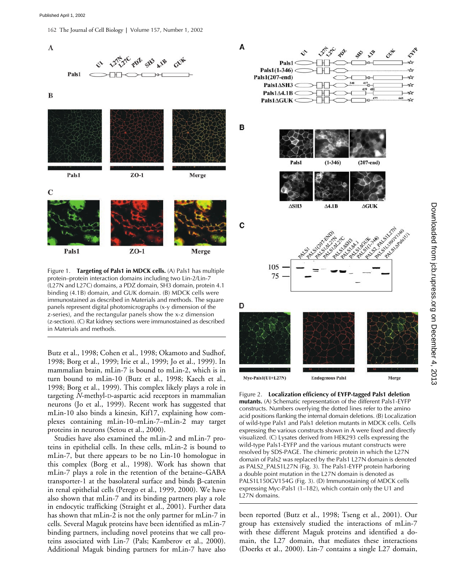162 The Journal of Cell Biology **|** Volume 157, Number 1, 2002



protein–protein interaction domains including two Lin-2/Lin-7 (L27N and L27C) domains, a PDZ domain, SH3 domain, protein 4.1 binding (4.1B) domain, and GUK domain. (B) MDCK cells were immunostained as described in Materials and methods. The square panels represent digital photomicrographs (x-y dimension of the z-series), and the rectangular panels show the x-z dimension (z-section). (C) Rat kidney sections were immunostained as described in Materials and methods.

Butz et al., 1998; Cohen et al., 1998; Okamoto and Sudhof, 1998; Borg et al., 1999; Irie et al., 1999; Jo et al., 1999). In mammalian brain, mLin-7 is bound to mLin-2, which is in turn bound to mLin-10 (Butz et al., 1998; Kaech et al., 1998; Borg et al., 1999). This complex likely plays a role in targeting *N*-methyl-D-aspartic acid receptors in mammalian neurons (Jo et al., 1999). Recent work has suggested that mLin-10 also binds a kinesin, Kif17, explaining how complexes containing mLin-10–mLin-7–mLin-2 may target proteins in neurons (Setou et al., 2000).

Studies have also examined the mLin-2 and mLin-7 proteins in epithelial cells. In these cells, mLin-2 is bound to mLin-7, but there appears to be no Lin-10 homologue in this complex (Borg et al., 1998). Work has shown that mLin-7 plays a role in the retention of the betaine–GABA transporter-1 at the basolateral surface and binds  $\beta$ -catenin in renal epithelial cells (Perego et al., 1999, 2000). We have also shown that mLin-7 and its binding partners play a role in endocytic trafficking (Straight et al., 2001). Further data has shown that mLin-2 is not the only partner for mLin-7 in cells. Several Maguk proteins have been identified as mLin-7 binding partners, including novel proteins that we call proteins associated with Lin-7 (Pals; Kamberov et al., 2000). Additional Maguk binding partners for mLin-7 have also

↝ ⊹ ∗ 75 D Myc-Pals1(U1+L27N) **Endogenous Pals1** Merge

Figure 2. **Localization efficiency of EYFP-tagged Pals1 deletion mutants.** (A) Schematic representation of the different Pals1-EYFP constructs. Numbers overlying the dotted lines refer to the amino acid positions flanking the internal domain deletions. (B) Localization of wild-type Pals1 and Pals1 deletion mutants in MDCK cells. Cells expressing the various constructs shown in A were fixed and directly visualized. (C) Lysates derived from HEK293 cells expressing the wild-type Pals1-EYFP and the various mutant constructs were resolved by SDS-PAGE. The chimeric protein in which the L27N domain of Pals2 was replaced by the Pals1 L27N domain is denoted as PALS2\_PALS1L27N (Fig. 3). The Pals1-EYFP protein harboring a double point mutation in the L27N domain is denoted as PALS1L150GV154G (Fig. 3). (D) Immunostaining of MDCK cells expressing Myc-Pals1 (1–182), which contain only the U1 and L27N domains.

been reported (Butz et al., 1998; Tseng et al., 2001). Our group has extensively studied the interactions of mLin-7 with these different Maguk proteins and identified a domain, the L27 domain, that mediates these interactions (Doerks et al., 2000). Lin-7 contains a single L27 domain,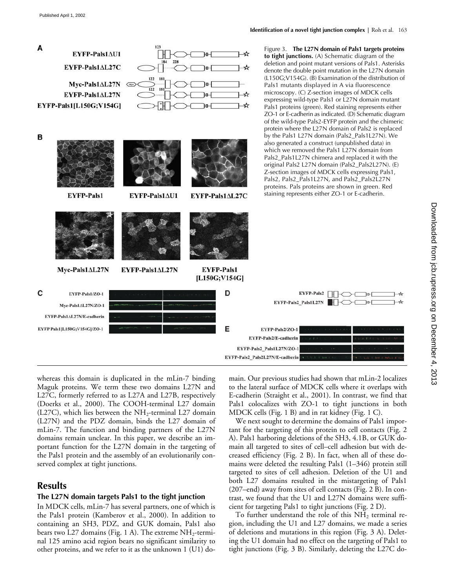

whereas this domain is duplicated in the mLin-7 binding Maguk proteins. We term these two domains L27N and L27C, formerly referred to as L27A and L27B, respectively (Doerks et al., 2000). The COOH-terminal L27 domain (L27C), which lies between the  $NH_2$ -terminal L27 domain (L27N) and the PDZ domain, binds the L27 domain of mLin-7. The function and binding partners of the L27N domains remain unclear. In this paper, we describe an important function for the L27N domain in the targeting of the Pals1 protein and the assembly of an evolutionarily conserved complex at tight junctions.

# **Results**

### **The L27N domain targets Pals1 to the tight junction**

In MDCK cells, mLin-7 has several partners, one of which is the Pals1 protein (Kamberov et al., 2000). In addition to containing an SH3, PDZ, and GUK domain, Pals1 also bears two L27 domains (Fig. 1 A). The extreme  $NH<sub>2</sub>$ -terminal 125 amino acid region bears no significant similarity to other proteins, and we refer to it as the unknown 1 (U1) domain. Our previous studies had shown that mLin-2 localizes to the lateral surface of MDCK cells where it overlaps with E-cadherin (Straight et al., 2001). In contrast, we find that Pals1 colocalizes with ZO-1 to tight junctions in both MDCK cells (Fig. 1 B) and in rat kidney (Fig. 1 C).

We next sought to determine the domains of Pals1 important for the targeting of this protein to cell contacts (Fig. 2 A). Pals1 harboring deletions of the SH3, 4.1B, or GUK domain all targeted to sites of cell–cell adhesion but with decreased efficiency (Fig. 2 B). In fact, when all of these domains were deleted the resulting Pals1 (1–346) protein still targeted to sites of cell adhesion. Deletion of the U1 and both L27 domains resulted in the mistargeting of Pals1 (207–end) away from sites of cell contacts (Fig. 2 B). In contrast, we found that the U1 and L27N domains were sufficient for targeting Pals1 to tight junctions (Fig. 2 D).

To further understand the role of this  $NH<sub>2</sub>$  terminal region, including the U1 and L27 domains, we made a series of deletions and mutations in this region (Fig. 3 A). Deleting the U1 domain had no effect on the targeting of Pals1 to tight junctions (Fig. 3 B). Similarly, deleting the L27C do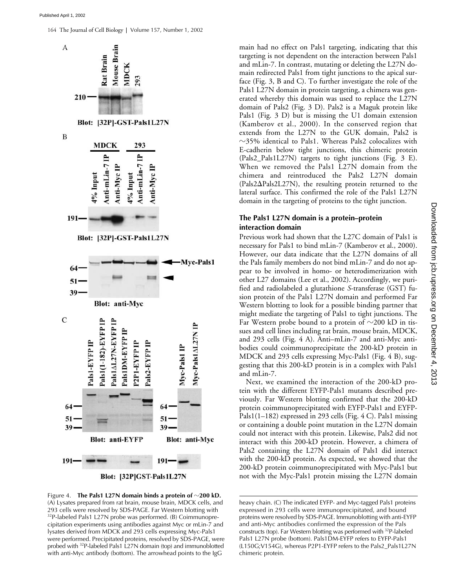164 The Journal of Cell Biology **|** Volume 157, Number 1, 2002





Figure 4. **The Pals1 L27N domain binds a protein of**  $\sim$ **200 kD.** (A) Lysates prepared from rat brain, mouse brain, MDCK cells, and 293 cells were resolved by SDS-PAGE. Far Western blotting with 32P-labeled Pals1 L27N probe was performed. (B) Coimmunoprecipitation experiments using antibodies against Myc or mLin-7 and lysates derived from MDCK and 293 cells expressing Myc-Pals1 were performed. Precipitated proteins, resolved by SDS-PAGE, were probed with 32P-labeled Pals1 L27N domain (top) and immunoblotted with anti-Myc antibody (bottom). The arrowhead points to the IgG

main had no effect on Pals1 targeting, indicating that this targeting is not dependent on the interaction between Pals1 and mLin-7. In contrast, mutating or deleting the L27N domain redirected Pals1 from tight junctions to the apical surface (Fig. 3, B and C). To further investigate the role of the Pals1 L27N domain in protein targeting, a chimera was generated whereby this domain was used to replace the L27N domain of Pals2 (Fig. 3 D). Pals2 is a Maguk protein like Pals1 (Fig. 3 D) but is missing the U1 domain extension (Kamberov et al., 2000). In the conserved region that extends from the L27N to the GUK domain, Pals2 is  $\sim$ 35% identical to Pals1. Whereas Pals2 colocalizes with E-cadherin below tight junctions, this chimeric protein (Pals2\_Pals1L27N) targets to tight junctions (Fig. 3 E). When we removed the Pals1 L27N domain from the chimera and reintroduced the Pals2 L27N domain  $(Pals2\Delta Pals2L27N)$ , the resulting protein returned to the lateral surface. This confirmed the role of the Pals1 L27N domain in the targeting of proteins to the tight junction.

### **The Pals1 L27N domain is a protein–protein interaction domain**

Previous work had shown that the L27C domain of Pals1 is necessary for Pals1 to bind mLin-7 (Kamberov et al., 2000). However, our data indicate that the L27N domains of all the Pals family members do not bind mLin-7 and do not appear to be involved in homo- or heterodimerization with other L27 domains (Lee et al., 2002). Accordingly, we purified and radiolabeled a glutathione *S*-transferase (GST) fusion protein of the Pals1 L27N domain and performed Far Western blotting to look for a possible binding partner that might mediate the targeting of Pals1 to tight junctions. The Far Western probe bound to a protein of  $\sim$ 200 kD in tissues and cell lines including rat brain, mouse brain, MDCK, and 293 cells (Fig. 4 A). Anti–mLin-7 and anti-Myc antibodies could coimmunoprecipitate the 200-kD protein in MDCK and 293 cells expressing Myc-Pals1 (Fig. 4 B), suggesting that this 200-kD protein is in a complex with Pals1 and mLin-7.

Next, we examined the interaction of the 200-kD protein with the different EYFP-Pals1 mutants described previously. Far Western blotting confirmed that the 200-kD protein coimmunoprecipitated with EYFP-Pals1 and EYFP-Pals1(1–182) expressed in 293 cells (Fig. 4 C). Pals1 missing or containing a double point mutation in the L27N domain could not interact with this protein. Likewise, Pals2 did not interact with this 200-kD protein. However, a chimera of Pals2 containing the L27N domain of Pals1 did interact with the 200-kD protein. As expected, we showed that the 200-kD protein coimmunoprecipitated with Myc-Pals1 but not with the Myc-Pals1 protein missing the L27N domain

heavy chain. (C) The indicated EYFP- and Myc-tagged Pals1 proteins expressed in 293 cells were immunoprecipitated, and bound proteins were resolved by SDS-PAGE. Immunoblotting with anti-EYFP and anti-Myc antibodies confirmed the expression of the Pals constructs (top). Far Western blotting was performed with 32P-labeled Pals1 L27N probe (bottom). Pals1DM-EYFP refers to EYFP-Pals1 (L150G;V154G), whereas P2P1-EYFP refers to the Pals2\_Pals1L27N chimeric protein.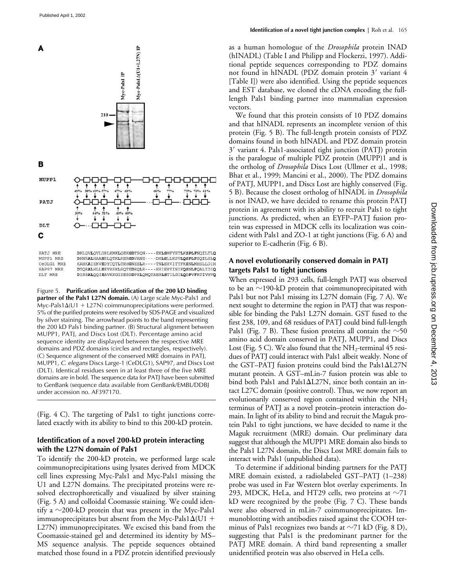с



| PATJ MRE   | DKLOVLOVLDRLKMKLOEKGDTSON----EKLSMFYETLKSPLFNOILTLO |
|------------|-----------------------------------------------------|
| MUPP1 MRE  | DKNRALHAAERLOTKLRERGDVANE----DKLSLLKSVLOSPLFSOILSLO |
| CeDLG1 MRE | KAHKAIENVEDYCOTLTRHGNEELR----TNLERVITTFKSNLMHSLLDIH |
| SAP97 MRE  | DTORALHLLEEYRSKLSOTEDROLR----SSIERVINIFOSNLFOALIDIO |
| DLT MRE    | DISSALQQIEAVKKGIDESDDPKLQMQTAESLSTILGILQDPVFRTIVHVQ |

Figure 5. **Purification and identification of the 200 kD binding partner of the Pals1 L27N domain.** (A) Large scale Myc-Pals1 and Myc-Pals1 $\Delta$ (U1 + L27N) coimmunoprecipitations were performed. 5% of the purified proteins were resolved by SDS-PAGE and visualized by silver staining. The arrowhead points to the band representing the 200 kD Pals1 binding partner. (B) Structural alignment between MUPP1, PATJ, and Discs Lost (DLT). Percentage amino acid sequence identity are displayed between the respective MRE domains and PDZ domains (circles and rectangles, respectively). (C) Sequence alignment of the conserved MRE domains in PATJ, MUPP1, *C. elegans* Discs Large-1 (CeDLG1), SAP97, and Discs Lost (DLT). Identical residues seen in at least three of the five MRE domains are in bold. The sequence data for PATJ have been submitted to GenBank (sequence data available from GenBank/EMBL/DDBJ under accession no. AF397170.

(Fig. 4 C). The targeting of Pals1 to tight junctions correlated exactly with its ability to bind to this 200-kD protein.

## **Identification of a novel 200-kD protein interacting with the L27N domain of Pals1**

To identify the 200-kD protein, we performed large scale coimmunoprecipitations using lysates derived from MDCK cell lines expressing Myc-Pals1 and Myc-Pals1 missing the U1 and L27N domains. The precipitated proteins were resolved electrophoretically and visualized by silver staining (Fig. 5 A) and colloidal Coomassie staining. We could identify a  $\sim$ 200-kD protein that was present in the Myc-Pals1 immunoprecipitates but absent from the Myc-Pals $1\Delta(U1 +$ L27N) immunoprecipitates. We excised this band from the Coomassie-stained gel and determined its identity by MS– MS sequence analysis. The peptide sequences obtained matched those found in a PDZ protein identified previously

as a human homologue of the *Drosophila* protein INAD (hINADL) (Table I and Philipp and Flockerzi, 1997). Additional peptide sequences corresponding to PDZ domains not found in hINADL (PDZ domain protein 3' variant 4 [Table I]) were also identified. Using the peptide sequences and EST database, we cloned the cDNA encoding the fulllength Pals1 binding partner into mammalian expression vectors.

We found that this protein consists of 10 PDZ domains and that hINADL represents an incomplete version of this protein (Fig. 5 B). The full-length protein consists of PDZ domains found in both hINADL and PDZ domain protein 3 variant 4. Pals1-associated tight junction (PATJ) protein is the paralogue of multiple PDZ protein (MUPP)1 and is the ortholog of *Drosophila* Discs Lost (Ullmer et al., 1998; Bhat et al., 1999; Mancini et al., 2000). The PDZ domains of PATJ, MUPP1, and Discs Lost are highly conserved (Fig. 5 B). Because the closest ortholog of hINADL in *Drosophila* is not INAD, we have decided to rename this protein PATJ protein in agreement with its ability to recruit Pals1 to tight junctions. As predicted, when an EYFP–PATJ fusion protein was expressed in MDCK cells its localization was coincident with Pals1 and ZO-1 at tight junctions (Fig. 6 A) and superior to E-cadherin (Fig. 6 B).

# **A novel evolutionarily conserved domain in PATJ targets Pals1 to tight junctions**

When expressed in 293 cells, full-length PATJ was observed to be an  $\sim$ 190-kD protein that coimmunoprecipitated with Pals1 but not Pals1 missing its L27N domain (Fig. 7 A). We next sought to determine the region in PATJ that was responsible for binding the Pals1 L27N domain. GST fused to the first 238, 109, and 68 residues of PATJ could bind full-length Pals1 (Fig. 7 B). These fusion proteins all contain the  ${\sim}50$ amino acid domain conserved in PATJ, MUPP1, and Discs Lost (Fig. 5 C). We also found that the  $NH<sub>2</sub>$ -terminal 45 residues of PATJ could interact with Pals1 albeit weakly. None of the GST-PATJ fusion proteins could bind the Pals1 $\Delta$ L27N mutant protein. A GST–mLin-7 fusion protein was able to bind both Pals1 and Pals1 $\Delta$ L27N, since both contain an intact L27C domain (positive control). Thus, we now report an evolutionarily conserved region contained within the  $NH<sub>2</sub>$ terminus of PATJ as a novel protein–protein interaction domain. In light of its ability to bind and recruit the Maguk protein Pals1 to tight junctions, we have decided to name it the Maguk recruitment (MRE) domain. Our preliminary data suggest that although the MUPP1 MRE domain also binds to the Pals1 L27N domain, the Discs Lost MRE domain fails to interact with Pals1 (unpublished data).

To determine if additional binding partners for the PATJ MRE domain existed, a radiolabeled GST–PATJ (1–238) probe was used in Far Western blot overlay experiments. In 293, MDCK, HeLa, and HT29 cells, two proteins at  $\sim$ 71 kD were recognized by the probe (Fig. 7 C). These bands were also observed in mLin-7 coimmunoprecipitates. Immunoblotting with antibodies raised against the COOH terminus of Pals1 recognizes two bands at  $\sim$ 71 kD (Fig. 8 D), suggesting that Pals1 is the predominant partner for the PATJ MRE domain. A third band representing a smaller unidentified protein was also observed in HeLa cells.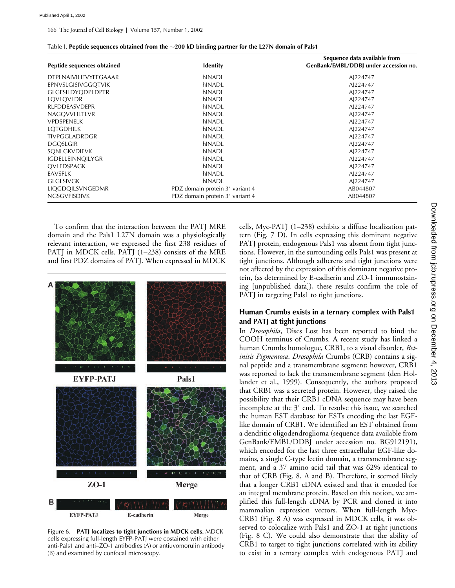| Peptide sequences obtained  | <b>Identity</b>                 | Sequence data available from<br>GenBank/EMBL/DDBJ under accession no. |
|-----------------------------|---------------------------------|-----------------------------------------------------------------------|
| <b>DTPLNAIVIHEVYEEGAAAR</b> | hINADL                          | AJ224747                                                              |
| EPNVSLGISIVGGQTVIK          | hINADL                          | AJ224747                                                              |
| <b>GLGFSILDYODPLDPTR</b>    | hINADL                          | AJ224747                                                              |
| LQVLQVLDR                   | hINADL                          | AJ224747                                                              |
| <b>RLFDDEASVDEPR</b>        | hINADL                          | AJ224747                                                              |
| NAGOVVHLTLVR                | hINADL                          | AJ224747                                                              |
| <b>VPDSPENELK</b>           | hINADL                          | AI224747                                                              |
| <b>LOTGDHILK</b>            | hINADL                          | AJ224747                                                              |
| TIVPGGLADRDGR               | hINADL                          | AJ224747                                                              |
| <b>DGQSLGIR</b>             | hINADL                          | AJ224747                                                              |
| SONLGKVDIFVK                | hINADL                          | AJ224747                                                              |
| <b>IGDELLEINNOILYGR</b>     | hINADL                          | AJ224747                                                              |
| OVLEDSPAGK                  | hINADL                          | AJ224747                                                              |
| EAVSFLK                     | hINADL                          | AJ224747                                                              |
| <b>GLGLSIVGK</b>            | hINADL                          | AJ224747                                                              |
| LIQGDQILSVNGEDMR            | PDZ domain protein 3' variant 4 | AB044807                                                              |
| <b>NGSGVFISDIVK</b>         | PDZ domain protein 3' variant 4 | AB044807                                                              |

To confirm that the interaction between the PATJ MRE domain and the Pals1 L27N domain was a physiologically relevant interaction, we expressed the first 238 residues of PATJ in MDCK cells. PATJ (1–238) consists of the MRE and first PDZ domains of PATJ. When expressed in MDCK



Figure 6. **PATJ localizes to tight junctions in MDCK cells.** MDCK cells expressing full-length EYFP-PATJ were costained with either anti-Pals1 and anti–ZO-1 antibodies (A) or antiuvomorulin antibody (B) and examined by confocal microscopy.

cells, Myc-PATJ (1–238) exhibits a diffuse localization pattern (Fig. 7 D). In cells expressing this dominant negative PATJ protein, endogenous Pals1 was absent from tight junctions. However, in the surrounding cells Pals1 was present at tight junctions. Although adherens and tight junctions were not affected by the expression of this dominant negative protein, (as determined by E-cadherin and ZO-1 immunostaining [unpublished data]), these results confirm the role of PATJ in targeting Pals1 to tight junctions.

### **Human Crumbs exists in a ternary complex with Pals1 and PATJ at tight junctions**

In *Drosophila*, Discs Lost has been reported to bind the COOH terminus of Crumbs. A recent study has linked a human Crumbs homologue, CRB1, to a visual disorder, *Retinitis Pigmentosa*. *Drosophila* Crumbs (CRB) contains a signal peptide and a transmembrane segment; however, CRB1 was reported to lack the transmembrane segment (den Hollander et al., 1999). Consequently, the authors proposed that CRB1 was a secreted protein. However, they raised the possibility that their CRB1 cDNA sequence may have been incomplete at the 3' end. To resolve this issue, we searched the human EST database for ESTs encoding the last EGFlike domain of CRB1. We identified an EST obtained from a dendritic oligodendroglioma (sequence data available from GenBank/EMBL/DDBJ under accession no. BG912191), which encoded for the last three extracellular EGF-like domains, a single C-type lectin domain, a transmembrane segment, and a 37 amino acid tail that was 62% identical to that of CRB (Fig. 8, A and B). Therefore, it seemed likely that a longer CRB1 cDNA existed and that it encoded for an integral membrane protein. Based on this notion, we amplified this full-length cDNA by PCR and cloned it into mammalian expression vectors. When full-length Myc-CRB1 (Fig. 8 A) was expressed in MDCK cells, it was observed to colocalize with Pals1 and ZO-1 at tight junctions (Fig. 8 C). We could also demonstrate that the ability of CRB1 to target to tight junctions correlated with its ability to exist in a ternary complex with endogenous PATJ and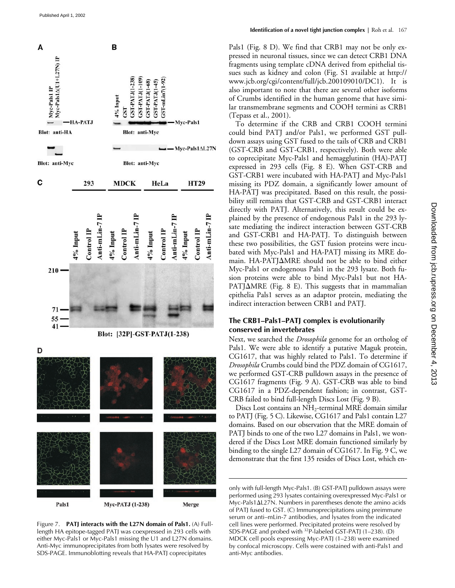

Figure 7. **PATJ interacts with the L27N domain of Pals1.** (A) Fulllength HA epitope-tagged PATJ was coexpressed in 293 cells with either Myc-Pals1 or Myc-Pals1 missing the U1 and L27N domains. Anti-Myc immunoprecipitates from both lysates were resolved by SDS-PAGE. Immunoblotting reveals that HA-PATJ coprecipitates

Pals1 (Fig. 8 D). We find that CRB1 may not be only expressed in neuronal tissues, since we can detect CRB1 DNA fragments using template cDNA derived from epithelial tissues such as kidney and colon (Fig. S1 available at http:// www.jcb.org/cgi/content/full/jcb.200109010/DC1). It is also important to note that there are several other isoforms of Crumbs identified in the human genome that have similar transmembrane segments and COOH termini as CRB1 (Tepass et al., 2001).

To determine if the CRB and CRB1 COOH termini could bind PATJ and/or Pals1, we performed GST pulldown assays using GST fused to the tails of CRB and CRB1 (GST-CRB and GST-CRB1, respectively). Both were able to coprecipitate Myc-Pals1 and hemagglutinin (HA)-PATJ expressed in 293 cells (Fig. 8 E). When GST-CRB and GST-CRB1 were incubated with HA-PATJ and Myc-Pals1 missing its PDZ domain, a significantly lower amount of HA-PATJ was precipitated. Based on this result, the possibility still remains that GST-CRB and GST-CRB1 interact directly with PATJ. Alternatively, this result could be explained by the presence of endogenous Pals1 in the 293 lysate mediating the indirect interaction between GST-CRB and GST-CRB1 and HA-PATJ. To distinguish between these two possibilities, the GST fusion proteins were incubated with Myc-Pals1 and HA-PATJ missing its MRE domain. HA-PATJMRE should not be able to bind either Myc-Pals1 or endogenous Pals1 in the 293 lysate. Both fusion proteins were able to bind Myc-Pals1 but not HA- $PATH\Delta MRE$  (Fig. 8 E). This suggests that in mammalian epithelia Pals1 serves as an adaptor protein, mediating the indirect interaction between CRB1 and PATJ.

# **The CRB1–Pals1–PATJ complex is evolutionarily conserved in invertebrates**

Next, we searched the *Drosophila* genome for an ortholog of Pals1. We were able to identify a putative Maguk protein, CG1617, that was highly related to Pals1. To determine if *Drosophila* Crumbs could bind the PDZ domain of CG1617, we performed GST-CRB pulldown assays in the presence of CG1617 fragments (Fig. 9 A). GST-CRB was able to bind CG1617 in a PDZ-dependent fashion; in contrast, GST-CRB failed to bind full-length Discs Lost (Fig. 9 B).

Discs Lost contains an NH<sub>2</sub>-terminal MRE domain similar to PATJ (Fig. 5 C). Likewise, CG1617 and Pals1 contain L27 domains. Based on our observation that the MRE domain of PATJ binds to one of the two L27 domains in Pals1, we wondered if the Discs Lost MRE domain functioned similarly by binding to the single L27 domain of CG1617. In Fig. 9 C, we demonstrate that the first 135 resides of Discs Lost, which en-

only with full-length Myc-Pals1. (B) GST-PATJ pulldown assays were performed using 293 lysates containing overexpressed Myc-Pals1 or  $Myc-Pals1\Delta L27N$ . Numbers in parentheses denote the amino acids of PATJ fused to GST. (C) Immunoprecipitations using preimmune serum or anti–mLin-7 antibodies, and lysates from the indicated cell lines were performed. Precipitated proteins were resolved by SDS-PAGE and probed with 32P-labeled GST-PATJ (1–238). (D) MDCK cell pools expressing Myc-PATJ (1–238) were examined by confocal microscopy. Cells were costained with anti-Pals1 and anti-Myc antibodies.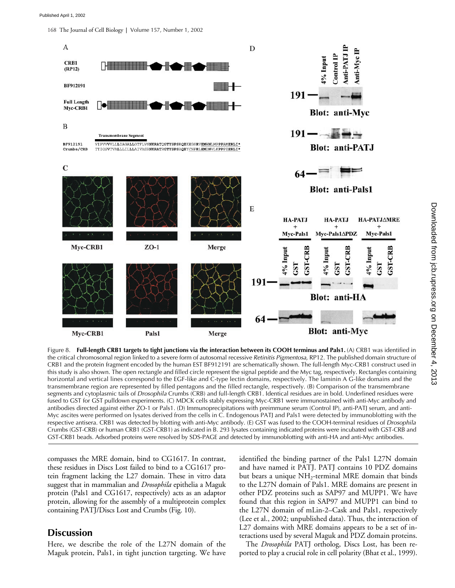168 The Journal of Cell Biology **|** Volume 157, Number 1, 2002



Figure 8. **Full-length CRB1 targets to tight junctions via the interaction between its COOH terminus and Pals1.** (A) CRB1 was identified in the critical chromosomal region linked to a severe form of autosomal recessive *Retinitis Pigmentosa*, RP12. The published domain structure of CRB1 and the protein fragment encoded by the human EST BF912191 are schematically shown. The full-length Myc-CRB1 construct used in this study is also shown. The open rectangle and filled circle represent the signal peptide and the Myc tag, respectively. Rectangles containing horizontal and vertical lines correspond to the EGF-like and C-type lectin domains, respectively. The laminin A G-like domains and the transmembrane region are represented by filled pentagons and the filled rectangle, respectively. (B) Comparison of the transmembrane segments and cytoplasmic tails of *Drosophila* Crumbs (CRB) and full-length CRB1. Identical residues are in bold. Underlined residues were fused to GST for GST pulldown experiments. (C) MDCK cells stably expressing Myc-CRB1 were immunostained with anti-Myc antibody and antibodies directed against either ZO-1 or Pals1. (D) Immunoprecipitations with preimmune serum (Control IP), anti-PATJ serum, and anti-Myc ascites were performed on lysates derived from the cells in C. Endogenous PATJ and Pals1 were detected by immunoblotting with the respective antisera. CRB1 was detected by blotting with anti-Myc antibody. (E) GST was fused to the COOH-terminal residues of *Drosophila* Crumbs (GST-CRB) or human CRB1 (GST-CRB1) as indicated in B. 293 lysates containing indicated proteins were incubated with GST-CRB and GST-CRB1 beads. Adsorbed proteins were resolved by SDS-PAGE and detected by immunoblotting with anti-HA and anti-Myc antibodies.

compasses the MRE domain, bind to CG1617. In contrast, these residues in Discs Lost failed to bind to a CG1617 protein fragment lacking the L27 domain. These in vitro data suggest that in mammalian and *Drosophila* epithelia a Maguk protein (Pals1 and CG1617, respectively) acts as an adaptor protein, allowing for the assembly of a multiprotein complex containing PATJ/Discs Lost and Crumbs (Fig. 10).

# **Discussion**

Here, we describe the role of the L27N domain of the Maguk protein, Pals1, in tight junction targeting. We have

identified the binding partner of the Pals1 L27N domain and have named it PATJ. PATJ contains 10 PDZ domains but bears a unique NH<sub>2</sub>-terminal MRE domain that binds to the L27N domain of Pals1. MRE domains are present in other PDZ proteins such as SAP97 and MUPP1. We have found that this region in SAP97 and MUPP1 can bind to the L27N domain of mLin-2–Cask and Pals1, respectively (Lee et al., 2002; unpublished data). Thus, the interaction of L27 domains with MRE domains appears to be a set of interactions used by several Maguk and PDZ domain proteins.

The *Drosophila* PATJ ortholog, Discs Lost, has been reported to play a crucial role in cell polarity (Bhat et al., 1999).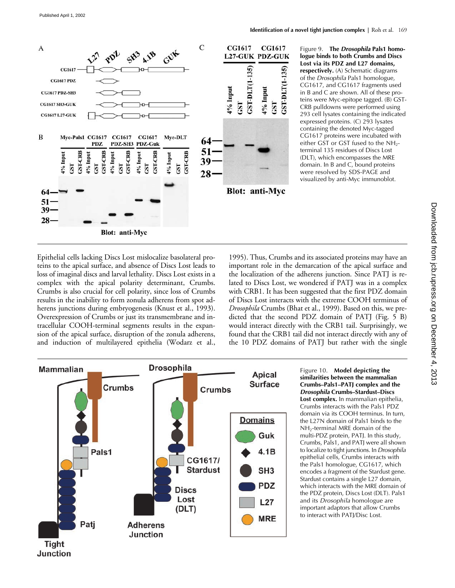

Figure 9. **The** *Drosophila* **Pals1 homologue binds to both Crumbs and Discs Lost via its PDZ and L27 domains, respectively.** (A) Schematic diagrams of the *Drosophila* Pals1 homologue, CG1617, and CG1617 fragments used in B and C are shown. All of these proteins were Myc-epitope tagged. (B) GST-CRB pulldowns were performed using 293 cell lysates containing the indicated expressed proteins. (C) 293 lysates containing the denoted Myc-tagged CG1617 proteins were incubated with either GST or GST fused to the NH<sub>2</sub>terminal 135 residues of Discs Lost (DLT), which encompasses the MRE domain. In B and C, bound proteins were resolved by SDS-PAGE and visualized by anti-Myc immunoblot.

Epithelial cells lacking Discs Lost mislocalize basolateral proteins to the apical surface, and absence of Discs Lost leads to loss of imaginal discs and larval lethality. Discs Lost exists in a complex with the apical polarity determinant, Crumbs. Crumbs is also crucial for cell polarity, since loss of Crumbs results in the inability to form zonula adherens from spot adherens junctions during embryogenesis (Knust et al., 1993). Overexpression of Crumbs or just its transmembrane and intracellular COOH-terminal segments results in the expansion of the apical surface, disruption of the zonula adherens, and induction of multilayered epithelia (Wodarz et al.,

1995). Thus, Crumbs and its associated proteins may have an important role in the demarcation of the apical surface and the localization of the adherens junction. Since PATJ is related to Discs Lost, we wondered if PATJ was in a complex with CRB1. It has been suggested that the first PDZ domain of Discs Lost interacts with the extreme COOH terminus of *Drosophila* Crumbs (Bhat et al., 1999). Based on this, we predicted that the second PDZ domain of PATJ (Fig. 5 B) would interact directly with the CRB1 tail. Surprisingly, we found that the CRB1 tail did not interact directly with any of the 10 PDZ domains of PATJ but rather with the single



Figure 10. **Model depicting the similarities between the mammalian Crumbs–Pals1–PATJ complex and the**  *Drosophila* **Crumbs–Stardust–Discs Lost complex.** In mammalian epithelia, Crumbs interacts with the Pals1 PDZ domain via its COOH terminus. In turn, the L27N domain of Pals1 binds to the NH2-terminal MRE domain of the multi-PDZ protein, PATJ. In this study, Crumbs, Pals1, and PATJ were all shown to localize to tight junctions. In *Drosophila* epithelial cells, Crumbs interacts with the Pals1 homologue, CG1617, which encodes a fragment of the Stardust gene. Stardust contains a single L27 domain, which interacts with the MRE domain of the PDZ protein, Discs Lost (DLT). Pals1 and its *Drosophila* homologue are important adaptors that allow Crumbs to interact with PATJ/Disc Lost.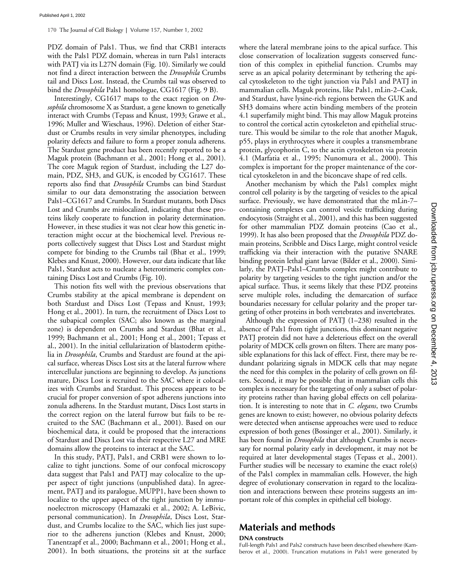PDZ domain of Pals1. Thus, we find that CRB1 interacts with the Pals1 PDZ domain, whereas in turn Pals1 interacts with PATJ via its L27N domain (Fig. 10). Similarly we could not find a direct interaction between the *Drosophila* Crumbs tail and Discs Lost. Instead, the Crumbs tail was observed to bind the *Drosophila* Pals1 homologue, CG1617 (Fig. 9 B).

Interestingly, CG1617 maps to the exact region on *Drosophila* chromosome X as Stardust, a gene known to genetically interact with Crumbs (Tepass and Knust, 1993; Grawe et al., 1996; Muller and Wieschaus, 1996). Deletion of either Stardust or Crumbs results in very similar phenotypes, including polarity defects and failure to form a proper zonula adherens. The Stardust gene product has been recently reported to be a Maguk protein (Bachmann et al., 2001; Hong et al., 2001). The core Maguk region of Stardust, including the L27 domain, PDZ, SH3, and GUK, is encoded by CG1617. These reports also find that *Drosophila* Crumbs can bind Stardust similar to our data demonstrating the association between Pals1–CG1617 and Crumbs. In Stardust mutants, both Discs Lost and Crumbs are mislocalized, indicating that these proteins likely cooperate to function in polarity determination. However, in these studies it was not clear how this genetic interaction might occur at the biochemical level. Previous reports collectively suggest that Discs Lost and Stardust might compete for binding to the Crumbs tail (Bhat et al., 1999; Klebes and Knust, 2000). However, our data indicate that like Pals1, Stardust acts to nucleate a heterotrimeric complex containing Discs Lost and Crumbs (Fig. 10).

This notion fits well with the previous observations that Crumbs stability at the apical membrane is dependent on both Stardust and Discs Lost (Tepass and Knust, 1993; Hong et al., 2001). In turn, the recruitment of Discs Lost to the subapical complex (SAC; also known as the marginal zone) is dependent on Crumbs and Stardust (Bhat et al., 1999; Bachmann et al., 2001; Hong et al., 2001; Tepass et al., 2001). In the initial cellularization of blastoderm epithelia in *Drosophila*, Crumbs and Stardust are found at the apical surface, whereas Discs Lost sits at the lateral furrow where intercellular junctions are beginning to develop. As junctions mature, Discs Lost is recruited to the SAC where it colocalizes with Crumbs and Stardust. This process appears to be crucial for proper conversion of spot adherens junctions into zonula adherens. In the Stardust mutant, Discs Lost starts in the correct region on the lateral furrow but fails to be recruited to the SAC (Bachmann et al., 2001). Based on our biochemical data, it could be proposed that the interactions of Stardust and Discs Lost via their respective L27 and MRE domains allow the proteins to interact at the SAC.

In this study, PATJ, Pals1, and CRB1 were shown to localize to tight junctions. Some of our confocal microscopy data suggest that Pals1 and PATJ may colocalize to the upper aspect of tight junctions (unpublished data). In agreement, PATJ and its paralogue, MUPP1, have been shown to localize to the upper aspect of the tight junction by immunoelectron microscopy (Hamazaki et al., 2002; A. LeBivic, personal communication). In *Drosophila*, Discs Lost, Stardust, and Crumbs localize to the SAC, which lies just superior to the adherens junction (Klebes and Knust, 2000; Tanentzapf et al., 2000; Bachmann et al., 2001; Hong et al., 2001). In both situations, the proteins sit at the surface where the lateral membrane joins to the apical surface. This close conservation of localization suggests conserved function of this complex in epithelial function. Crumbs may serve as an apical polarity determinant by tethering the apical cytoskeleton to the tight junction via Pals1 and PATJ in mammalian cells. Maguk proteins, like Pals1, mLin-2–Cask, and Stardust, have lysine-rich regions between the GUK and SH3 domains where actin binding members of the protein 4.1 superfamily might bind. This may allow Maguk proteins to control the cortical actin cytoskeleton and epithelial structure. This would be similar to the role that another Maguk, p55, plays in erythrocytes where it couples a transmembrane protein, glycophorin C, to the actin cytoskeleton via protein 4.1 (Marfatia et al., 1995; Nunomura et al., 2000). This complex is important for the proper maintenance of the cortical cytoskeleton in and the biconcave shape of red cells.

Another mechanism by which the Pals1 complex might control cell polarity is by the targeting of vesicles to the apical surface. Previously, we have demonstrated that the mLin-7– containing complexes can control vesicle trafficking during endocytosis (Straight et al., 2001), and this has been suggested for other mammalian PDZ domain proteins (Cao et al., 1999). It has also been proposed that the *Drosophila* PDZ domain proteins, Scribble and Discs Large, might control vesicle trafficking via their interaction with the putative SNARE binding protein lethal giant larvae (Bilder et al., 2000). Similarly, the PATJ–Pals1–Crumbs complex might contribute to polarity by targeting vesicles to the tight junction and/or the apical surface. Thus, it seems likely that these PDZ proteins serve multiple roles, including the demarcation of surface boundaries necessary for cellular polarity and the proper targeting of other proteins in both vertebrates and invertebrates.

Although the expression of PATJ (1–238) resulted in the absence of Pals1 from tight junctions, this dominant negative PATJ protein did not have a deleterious effect on the overall polarity of MDCK cells grown on filters. There are many possible explanations for this lack of effect. First, there may be redundant polarizing signals in MDCK cells that may negate the need for this complex in the polarity of cells grown on filters. Second, it may be possible that in mammalian cells this complex is necessary for the targeting of only a subset of polarity proteins rather than having global effects on cell polarization. It is interesting to note that in *C. elegans*, two Crumbs genes are known to exist; however, no obvious polarity defects were detected when antisense approaches were used to reduce expression of both genes (Bossinger et al., 2001). Similarly, it has been found in *Drosophila* that although Crumbs is necessary for normal polarity early in development, it may not be required at later developmental stages (Tepass et al., 2001). Further studies will be necessary to examine the exact role(s) of the Pals1 complex in mammalian cells. However, the high degree of evolutionary conservation in regard to the localization and interactions between these proteins suggests an important role of this complex in epithelial cell biology.

# **Materials and methods**

### **DNA constructs**

Full-length Pals1 and Pals2 constructs have been described elsewhere (Kamberov et al., 2000). Truncation mutations in Pals1 were generated by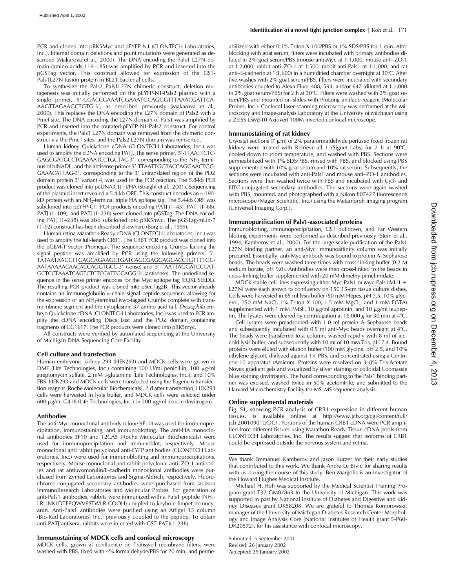PCR and cloned into pRK5Myc and pEYFP-N1 (CLONTECH Laboratories, Inc.). Internal domain deletions and point mutations were generated as described (Makarova et al., 2000). The DNA encoding the Pals1 L27N domain (amino acids 116–185) was amplified by PCR and inserted into the pGSTag vector. This construct allowed for expression of the GST-Pals1L27N fusion protein in BL21 bacterial cells.

To synthesize the Pals2\_Pals1L27N chimeric construct, deletion mutagenesis was initially performed on the pEYFP-N1-Pals2 plasmid with a single primer, 5'-CGACCGAAATCGAAATGCAGGGTTTAAACGATTCA-AAGTTAGAAGCTGTG-3, as described previously (Makarova et al., 2000). This replaces the DNA encoding the L27N domain of Pals2 with a PmeI site. The DNA encoding the L27N domain of Pals1 was amplified by PCR and inserted into the mutated pEYFP-N1-Pals2 construct. For control experiments, the Pals1 L27N domain was removed from the chimeric construct via the Pme1 sites, and the Pals2 L27N domain was reinserted.

Human kidney Quickclone cDNA (CLONTECH Laboratories, Inc.) was used to amplify the cDNA encoding PATJ. The sense primer, 5'-TTAATTCTC-GAGCGATGCCTGAAAATCCTGCTAC-3', corresponding to the NH<sub>2</sub> terminus of hINADL, and the antisense primer 5'-TTAATTGGTACCAGGAACTGG-GAAACATTAG-3', corresponding to the 3' untranslated region of the PDZ domain protein 3' variant 4, was used in the PCR reaction. The 5.8-kb PCR product was cloned into pcDNA3.1(-)/HA (Straight et al., 2001). Sequencing of the plasmid insert revealed a 5.4-kb ORF. This construct encodes an  $\sim$ 190kD protein with an NH<sub>2</sub>-terminal triple HA epitope tag. The 5.4-kb ORF was subcloned into pEYFP-C1. PCR products encoding PATJ (1–45), PATJ (1–68), PATJ (1–109), and PATJ (1–238) were cloned into pGSTag. The DNA encoding PATJ (1–238) was also subcloned into pRK5myc. The pGSTag-mLin-7 (1–92) construct has been described elsewhere (Borg et al., 1999).

Human retina Marathon Ready cDNA (CLONTECH Laboratories, Inc.) was used to amplify the full-length CRB1. The CRB1 PCR product was cloned into the pGEM-T vector (Promega). The sequence encoding Crumbs lacking the signal peptide was amplified by PCR using the following primers: 5'-TATAATAAGCTTGAGCAGAAGCTGATCAGCGAGGAGGACCTGTTTTGC-AATAAAAACAACACCAGGTGCC-3 (sense) and 5-TAATTAGGATCCCAT-GCTCCTAAATCAGTCTCTCCATTGCAGG-3 (antisense). The underlined sequence in the sense primer encodes for the Myc epitope tag (EQKLISEEDL). The resulting PCR product was cloned into pSecTag2B. This vector already contains an immunoglobulin  $\kappa$ -chain signal peptide sequence, allowing for the expression of an NH<sub>2</sub>-terminal Myc-tagged Crumbs complete with transmembrane segment and the cytoplasmic 37 amino acid tail. *Drosophila* embryo Quickclone cDNA (CLONTECH Laboratories, Inc.) was used to PCR amplify the cDNA encoding Discs Lost and the PDZ domain containing fragments of CG1617. The PCR products were cloned into pRK5myc.

All constructs were verified by automated sequencing at the University of Michigan DNA Sequencing Core Facility.

### **Cell culture and transfection**

Human embryonic kidney 293 (HEK293) and MDCK cells were grown in DME (Life Technologies, Inc.) containing 100 U/ml penicillin, 100 µg/ml streptomycin sulfate, 2 mM L-glutamine (Life Technologies, Inc.), and 10% FBS. HEK293 and MDCK cells were transfected using the Fugene 6 transfection reagent (Roche Molecular Biochemicals). 2 d after transfection, HEK293 cells were harvested in lysis buffer, and MDCK cells were selected under 600 μg/ml G418 (Life Technologies, Inc.) or 200 μg/ml zeocin (Invitrogen).

#### **Antibodies**

The anti-Myc monoclonal antibody (clone 9E10) was used for immunoprecipitation, immunostaining, and immunoblotting. The anti-HA monoclonal antibodies 3F10 and 12CA5 (Roche Molecular Biochemicals) were used for immunoprecipitation and immunoblot, respectively. Mouse monoclonal and rabbit polyclonal anti-EYFP antibodies (CLONTECH Laboratories, Inc.) were used for immunoblotting and immunoprecipitations, respectively. Mouse monoclonal and rabbit polyclonal anti–ZO-1 antibodies and rat antiuvomorulin/E-cadherin monoclonal antibodies were purchased from Zymed Laboratories and Sigma-Aldrich, respectively. Fluorochrome-conjugated secondary antibodies were purchased from Jackson ImmunoResearch Laboratories and Molecular Probes. For generation of anti-Pals1 antibodies, rabbits were immunized with a Pals1 peptide (NH<sub>2</sub>-LRLINKLDTEPQWVPSTWLR-COOH) coupled to keyhole limpet hemocyanin. Anti-Pals1 antibodies were purified using an Affigel 15 column (Bio-Rad Laboratories, Inc.) previously coupled to the peptide. To obtain anti-PATJ antisera, rabbits were injected with GST-PATJ(1–238).

#### **Immunostaining of MDCK cells and confocal microscopy**

MDCK cells, grown at confluence on Transwell membrane filters, were washed with PBS, fixed with 4% formaldehyde/PBS for 20 min, and permeabilized with either 0.1% Triton X-100/PBS or 1% SDS/PBS for 3 min. After blocking with goat serum, filters were incubated with primary antibodies diluted in 2% goat serum/PBS (mouse anti-Myc at 1:1,000, mouse anti–ZO-1 at 1:2,000, rabbit anti–ZO-1 at 1:500, rabbit anti-Pals1 at 1:1,000, and rat anti–E-cadherin at 1:1,600) in a humidified chamber overnight at 30 C. After five washes with 2% goat serum/PBS, filters were incubated with secondary antibodies coupled to Alexa Fluor 488, 594, and/or 647 (diluted at 1:1,000 in 2% goat serum/PBS) for 2 h at 30 C. Filters were washed with 2% goat serum/PBS and mounted on slides with ProLong antifade reagent (Molecular Probes, Inc.). Confocal laser-scanning microscopy was performed at the Microscopy and Image-analysis Laboratory at the University of Michigan using a ZEISS LSM510 Axiovert 100M inverted confocal microscope.

### **Immunostaining of rat kidney**

Cryostat sections (7  $\mu$ m) of 2% paraformaldehyde perfused fixed frozen rat kidney were treated with Retrieve-all 1 (Signet Labs) for 2 h at 90 C, cooled down to room temperature, and washed with PBS. Sections were permeabilized with 1% SDS/PBS, rinsed with PBS, and blocked using PBS supplemented with 10% goat serum and 10% rat serum. Subsequently, the sections were incubated with anti-Pals1 and mouse anti–ZO-1 antibodies. Sections were then washed twice with PBS and incubated with Cy3- and FITC-conjugated secondary antibodies. The sections were again washed with PBS, mounted, and photographed with a Nikon 807427 fluorescence microscope (Mager Scientific, Inc.) using the Metamorph imaging program (Universal Imaging Corp.).

#### **Immunopurification of Pals1-associated proteins**

Immunoblotting, immunoprecipitation, GST pulldown, and Far Western blotting experiments were performed as described previously (Stein et al., 1994; Kamberov et al., 2000). For the large scale purification of the Pals1 L27N binding partner, an anti-Myc immunoaffinity column was initially prepared. Essentially, anti-Myc antibody was bound to protein A–Sepharose beads. The beads were washed three times with cross-linking buffer (0.2 M sodium borate, pH 9.0). Antibodies were then cross-linked to the beads in cross-linking buffer supplemented with 20 mM dimethylpimelimidate.

MDCK stable cell lines expressing either Myc-Pals1 or Myc-Pals1 $\Delta$ (U1 + L27N) were each grown to confluency on 150 15-cm tissue culture dishes. Cells were harvested in 65 ml lysis buffer (50 mM Hepes, pH 7.5, 10% glycerol, 150 mM NaCl, 1% Triton X-100, 1.5 mM  $MgCl<sub>2</sub>$ , and 1 mM EGTA) supplemented with 1 mM PMSF, 10  $\mu$ g/ml aprotinin, and 10  $\mu$ g/ml leupeptin. The lysates were cleared by centrifugation at 16,000 *g* for 30 min at 4 C.

Cell lysates were preadsorbed with 1.0 ml protein A–Sepharose beads and subsequently incubated with 0.5 ml anti-Myc beads overnight at 4 C. The beads were transferred to a column, washed rapidly with 8 ml of icecold lysis buffer, and subsequently with 10 ml of 10 mM Tris, pH 7.4. Bound proteins were eluted with elution buffer (100 mM glycine, pH 2.5, and 10% ethylene glycol), dialyzed against  $1 \times$  PBS, and concentrated using a Centricon-10 apparatus (Amicon). Proteins were resolved on 3–8% Tris-Acetate Novex gradient gels and visualized by silver staining or colloidal Coomassie blue staining (Invitrogen). The band corresponding to the Pals1 binding partner was excised, washed twice in 50% acetonitrile, and submitted to the Harvard Microchemistry Facility for MS–MS sequence analysis.

### **Online supplemental materials**

Fig. S1, showing PCR analysis of CRB1 expression in different human tissues, is available online at http://www.jcb.org/cgi/content/full/ jcb.200109010/DC1. Portions of the human CRB1 cDNA were PCR amplified from different tissues using Marathon Ready Tissue cDNA pools from CLONTECH Laboratories, Inc. The results suggest that isoforms of CRB1 could be expressed outside the nervous system and retina.

We thank Emmanuel Kamberov and Jason Kurzer for their early studies that contributed to this work. We thank Andre Le Bivic for sharing results with us during the course of this study. Ben Margolis is an investigator of the Howard Hughes Medical Institute.

Michael H. Roh was supported by the Medical Scientist Training Program grant T32 GM07863 to the University of Michigan. This work was supported in part by National Institute of Diabetes and Digestive and Kidney Diseases grant DK58208. We are grateful to Thomas Komorowski, manager of the University of Michigan Diabetes Research Center Morphology and Image Analysis Core (National Institutes of Health grant 5-P60- DK20572), for his assistance with confocal microscopy.

Submitted: 5 September 2001 Revised: 26 January 2002 Accepted: 29 January 2002